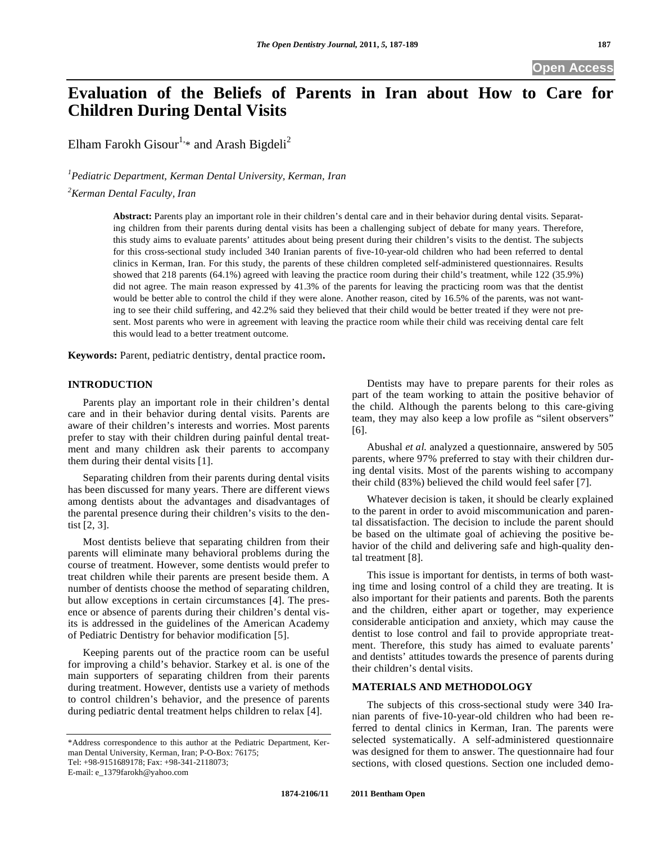# **Evaluation of the Beliefs of Parents in Iran about How to Care for Children During Dental Visits**

Elham Farokh Gisour<sup>1,\*</sup> and Arash Bigdeli<sup>2</sup>

*1 Pediatric Department, Kerman Dental University, Kerman, Iran* 

*2 Kerman Dental Faculty, Iran* 

**Abstract:** Parents play an important role in their children's dental care and in their behavior during dental visits. Separating children from their parents during dental visits has been a challenging subject of debate for many years. Therefore, this study aims to evaluate parents' attitudes about being present during their children's visits to the dentist. The subjects for this cross-sectional study included 340 Iranian parents of five-10-year-old children who had been referred to dental clinics in Kerman, Iran. For this study, the parents of these children completed self-administered questionnaires. Results showed that 218 parents (64.1%) agreed with leaving the practice room during their child's treatment, while 122 (35.9%) did not agree. The main reason expressed by 41.3% of the parents for leaving the practicing room was that the dentist would be better able to control the child if they were alone. Another reason, cited by 16.5% of the parents, was not wanting to see their child suffering, and 42.2% said they believed that their child would be better treated if they were not present. Most parents who were in agreement with leaving the practice room while their child was receiving dental care felt this would lead to a better treatment outcome.

**Keywords:** Parent, pediatric dentistry, dental practice room**.**

### **INTRODUCTION**

Parents play an important role in their children's dental care and in their behavior during dental visits. Parents are aware of their children's interests and worries. Most parents prefer to stay with their children during painful dental treatment and many children ask their parents to accompany them during their dental visits [1].

Separating children from their parents during dental visits has been discussed for many years. There are different views among dentists about the advantages and disadvantages of the parental presence during their children's visits to the dentist [2, 3].

Most dentists believe that separating children from their parents will eliminate many behavioral problems during the course of treatment. However, some dentists would prefer to treat children while their parents are present beside them. A number of dentists choose the method of separating children, but allow exceptions in certain circumstances [4]. The presence or absence of parents during their children's dental visits is addressed in the guidelines of the American Academy of Pediatric Dentistry for behavior modification [5].

Keeping parents out of the practice room can be useful for improving a child's behavior. Starkey et al. is one of the main supporters of separating children from their parents during treatment. However, dentists use a variety of methods to control children's behavior, and the presence of parents during pediatric dental treatment helps children to relax [4].

E-mail: e\_1379farokh@yahoo.com

Dentists may have to prepare parents for their roles as part of the team working to attain the positive behavior of the child. Although the parents belong to this care-giving team, they may also keep a low profile as "silent observers" [6].

Abushal *et al.* analyzed a questionnaire, answered by 505 parents, where 97% preferred to stay with their children during dental visits. Most of the parents wishing to accompany their child (83%) believed the child would feel safer [7].

Whatever decision is taken, it should be clearly explained to the parent in order to avoid miscommunication and parental dissatisfaction. The decision to include the parent should be based on the ultimate goal of achieving the positive behavior of the child and delivering safe and high-quality dental treatment [8].

This issue is important for dentists, in terms of both wasting time and losing control of a child they are treating. It is also important for their patients and parents. Both the parents and the children, either apart or together, may experience considerable anticipation and anxiety, which may cause the dentist to lose control and fail to provide appropriate treatment. Therefore, this study has aimed to evaluate parents' and dentists' attitudes towards the presence of parents during their children's dental visits.

## **MATERIALS AND METHODOLOGY**

The subjects of this cross-sectional study were 340 Iranian parents of five-10-year-old children who had been referred to dental clinics in Kerman, Iran. The parents were selected systematically. A self-administered questionnaire was designed for them to answer. The questionnaire had four sections, with closed questions. Section one included demo-

<sup>\*</sup>Address correspondence to this author at the Pediatric Department, Kerman Dental University, Kerman, Iran; P-O-Box: 76175; Tel: +98-9151689178; Fax: +98-341-2118073;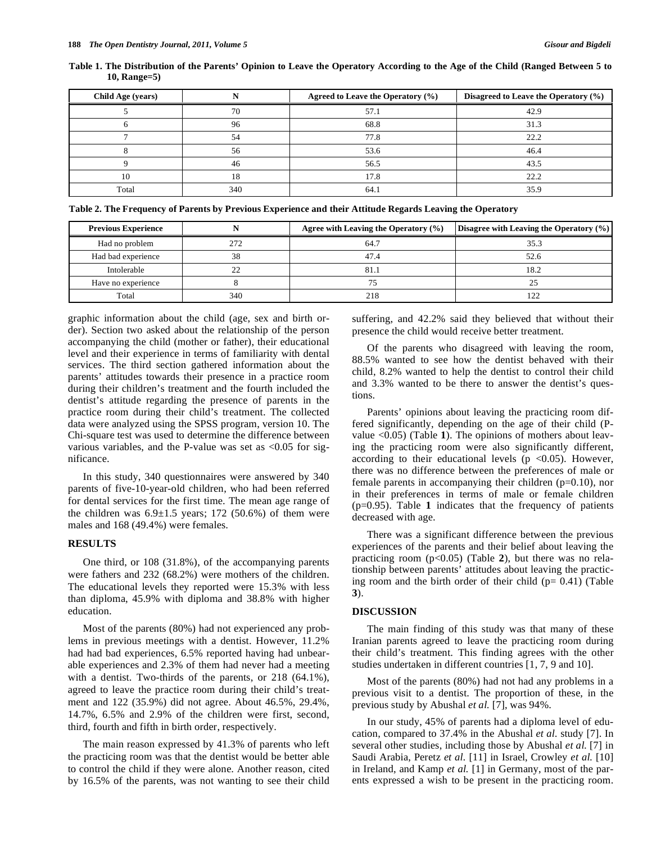| Child Age (years) |     | Agreed to Leave the Operatory $(\% )$ | Disagreed to Leave the Operatory (%) |
|-------------------|-----|---------------------------------------|--------------------------------------|
|                   | 70  | 57.1                                  | 42.9                                 |
|                   | 96  | 68.8                                  | 31.3                                 |
|                   | 54  | 77.8                                  | 22.2                                 |
|                   | 56  | 53.6                                  | 46.4                                 |
|                   | 46  | 56.5                                  | 43.5                                 |
| l0                | 18  | 17.8                                  | 22.2                                 |
| Total             | 340 | 64.1                                  | 35.9                                 |

**Table 1. The Distribution of the Parents' Opinion to Leave the Operatory According to the Age of the Child (Ranged Between 5 to 10, Range=5)** 

**Table 2. The Frequency of Parents by Previous Experience and their Attitude Regards Leaving the Operatory** 

| <b>Previous Experience</b> |          | Agree with Leaving the Operatory $(\% )$ | Disagree with Leaving the Operatory $(\% )$ |
|----------------------------|----------|------------------------------------------|---------------------------------------------|
| Had no problem             | 272      | 64.7                                     | 35.3                                        |
| Had bad experience         | 38       | 47.4                                     | 52.6                                        |
| Intolerable                | $\gamma$ | 81.1                                     | 18.2                                        |
| Have no experience         |          |                                          |                                             |
| Total                      | 340      | 218                                      |                                             |

graphic information about the child (age, sex and birth order). Section two asked about the relationship of the person accompanying the child (mother or father), their educational level and their experience in terms of familiarity with dental services. The third section gathered information about the parents' attitudes towards their presence in a practice room during their children's treatment and the fourth included the dentist's attitude regarding the presence of parents in the practice room during their child's treatment. The collected data were analyzed using the SPSS program, version 10. The Chi-square test was used to determine the difference between various variables, and the P-value was set as  $\langle 0.05 \rangle$  for significance.

In this study, 340 questionnaires were answered by 340 parents of five-10-year-old children, who had been referred for dental services for the first time. The mean age range of the children was  $6.9\pm1.5$  years; 172 (50.6%) of them were males and 168 (49.4%) were females.

## **RESULTS**

One third, or 108 (31.8%), of the accompanying parents were fathers and 232 (68.2%) were mothers of the children. The educational levels they reported were 15.3% with less than diploma, 45.9% with diploma and 38.8% with higher education.

Most of the parents (80%) had not experienced any problems in previous meetings with a dentist. However, 11.2% had had bad experiences, 6.5% reported having had unbearable experiences and 2.3% of them had never had a meeting with a dentist. Two-thirds of the parents, or 218 (64.1%), agreed to leave the practice room during their child's treatment and 122 (35.9%) did not agree. About 46.5%, 29.4%, 14.7%, 6.5% and 2.9% of the children were first, second, third, fourth and fifth in birth order, respectively.

The main reason expressed by 41.3% of parents who left the practicing room was that the dentist would be better able to control the child if they were alone. Another reason, cited by 16.5% of the parents, was not wanting to see their child suffering, and 42.2% said they believed that without their presence the child would receive better treatment.

Of the parents who disagreed with leaving the room, 88.5% wanted to see how the dentist behaved with their child, 8.2% wanted to help the dentist to control their child and 3.3% wanted to be there to answer the dentist's questions.

Parents' opinions about leaving the practicing room differed significantly, depending on the age of their child (Pvalue <0.05) (Table **1**). The opinions of mothers about leaving the practicing room were also significantly different, according to their educational levels ( $p \lt 0.05$ ). However, there was no difference between the preferences of male or female parents in accompanying their children (p=0.10), nor in their preferences in terms of male or female children (p=0.95). Table **1** indicates that the frequency of patients decreased with age.

There was a significant difference between the previous experiences of the parents and their belief about leaving the practicing room (p<0.05) (Table **2**), but there was no relationship between parents' attitudes about leaving the practicing room and the birth order of their child  $(p= 0.41)$  (Table **3**).

#### **DISCUSSION**

The main finding of this study was that many of these Iranian parents agreed to leave the practicing room during their child's treatment. This finding agrees with the other studies undertaken in different countries [1, 7, 9 and 10].

Most of the parents (80%) had not had any problems in a previous visit to a dentist. The proportion of these, in the previous study by Abushal *et al.* [7], was 94%.

In our study, 45% of parents had a diploma level of education, compared to 37.4% in the Abushal *et al.* study [7]. In several other studies, including those by Abushal *et al.* [7] in Saudi Arabia, Peretz *et al.* [11] in Israel, Crowley *et al.* [10] in Ireland, and Kamp *et al.* [1] in Germany, most of the parents expressed a wish to be present in the practicing room.